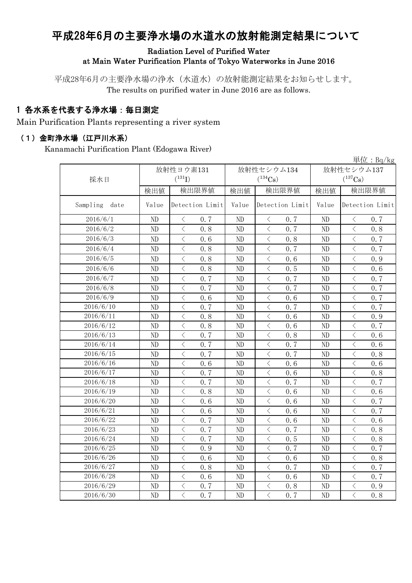# 平成28年6月の主要浄水場の水道水の放射能測定結果について

#### Radiation Level of Purified Water at Main Water Purification Plants of Tokyo Waterworks in June 2016

平成28年6月の主要浄水場の浄水(水道水)の放射能測定結果をお知らせします。 The results on purified water in June 2016 are as follows.

### 1 各水系を代表する浄水場:毎日測定

Main Purification Plants representing a river system

#### (1)金町浄水場(江戸川水系)

Kanamachi Purification Plant (Edogawa River)

|                  |                |                                                  |       |                                                                                                                                                                      |              | 単位: $Bq/kg$                                     |  |  |
|------------------|----------------|--------------------------------------------------|-------|----------------------------------------------------------------------------------------------------------------------------------------------------------------------|--------------|-------------------------------------------------|--|--|
|                  |                | 放射性ヨウ素131                                        |       | 放射性セシウム134                                                                                                                                                           | 放射性セシウム137   |                                                 |  |  |
| 採水日              |                | $(^{131}I)$                                      |       | $(^{134}Cs)$                                                                                                                                                         | $(^{137}Cs)$ |                                                 |  |  |
|                  | 検出値            | 検出限界値                                            | 検出値   | 検出限界値                                                                                                                                                                | 検出値          | 検出限界値                                           |  |  |
| Sampling<br>date | Value          | Detection Limit                                  | Value | Detection Limit                                                                                                                                                      | Value        | Detection Limit                                 |  |  |
| 2016/6/1         | ND             | $\lt$<br>0.7                                     | ND    | $\, <\,$<br>0.7                                                                                                                                                      | ND           | $\, <\,$<br>0.7                                 |  |  |
| 2016/6/2         | ND             | $\langle$<br>0, 8                                | ND    | $\lt$<br>0.7                                                                                                                                                         | ND           | $\,$ $\,$ $\,$<br>0, 8                          |  |  |
| 2016/6/3         | ND             | $\lt$<br>0.6                                     | ND    | 0.8<br>$\lt$                                                                                                                                                         | ND           | $\lt$<br>0.7                                    |  |  |
| 2016/6/4         | ND             | $\lt$<br>0.8                                     | ND    | $\lt$<br>0.7                                                                                                                                                         | ND           | $\lt$<br>0.7                                    |  |  |
| 2016/6/5         | ND             | $\overline{\left\langle \right\rangle }$<br>0, 8 | ND    | $\overline{\left\langle \right\rangle }$<br>0, 6                                                                                                                     | ND           | $\overline{\left\langle \right\rangle }$<br>0.9 |  |  |
| 2016/6/6         | ND             | $\overline{\left\langle \right\rangle }$<br>0.8  | ND    | $\langle$<br>0.5                                                                                                                                                     | ND           | $\langle$<br>0.6                                |  |  |
| 2016/6/7         | ND             | $\overline{\left\langle \right\rangle }$<br>0.7  | ND    | $\overline{\left\langle \right\rangle }$<br>0.7                                                                                                                      | ND           | $\overline{\left\langle \right\rangle }$<br>0.7 |  |  |
| 2016/6/8         | $\rm ND$       | $\overline{\left\langle \right\rangle }$<br>0.7  | ND    | $\langle$<br>0.7                                                                                                                                                     | ND           | $\bigg\langle$<br>0.7                           |  |  |
| 2016/6/9         | ND             | $\langle$<br>0.6                                 | ND    | $\lt$<br>0.6                                                                                                                                                         | ND           | $\overline{\left\langle \right\rangle }$<br>0.7 |  |  |
| 2016/6/10        | ND             | $\, \zeta \,$<br>0.7                             | ND    | $\langle$<br>0.7                                                                                                                                                     | ND           | $\bigg\langle$<br>0.7                           |  |  |
| 2016/6/11        | ND             | $\langle$<br>0.8                                 | ND    | $\langle$<br>0.6                                                                                                                                                     | ND           | $\overline{\left\langle \right\rangle }$<br>0.9 |  |  |
| 2016/6/12        | ND             | $\langle$<br>0.8                                 | ND    | $\langle$<br>0.6                                                                                                                                                     | ND           | $\bigg\langle$<br>0.7                           |  |  |
| 2016/6/13        | ND             | $\overline{\left\langle \right\rangle }$<br>0.7  | ND    | $\lt$<br>0.8                                                                                                                                                         | ND           | $\langle$<br>0, 6                               |  |  |
| 2016/6/14        | ND             | $\langle$<br>0.7                                 | ND    | $\lt$<br>0.7                                                                                                                                                         | ND           | $\,$ $\,$ $\,$<br>0.6                           |  |  |
| 2016/6/15        | ND             | $\langle$<br>0.7                                 | ND    | $\lt$<br>0.7                                                                                                                                                         | ND           | $\, \zeta \,$<br>0, 8                           |  |  |
| 2016/6/16        | ND             | $\lt$<br>0.6                                     | ND    | $\lt$<br>0.6                                                                                                                                                         | ND           | $\lt$<br>0.6                                    |  |  |
| 2016/6/17        | ND             | $\overline{\left\langle \right\rangle }$<br>0.7  | ND    | $\overline{\left\langle \right\rangle }$<br>0.6                                                                                                                      | ND           | $\langle$<br>0.8                                |  |  |
| 2016/6/18        | ND             | $\lt$<br>0.7                                     | ND    | $\langle$<br>0.7                                                                                                                                                     | ND           | $\lt$<br>0.7                                    |  |  |
| 2016/6/19        | ND             | $\lt$<br>0.8                                     | ND    | $\langle$<br>0.6                                                                                                                                                     | ND           | $\lt$<br>0.6                                    |  |  |
| 2016/6/20        | ND             | $\overline{\left\langle \right\rangle }$<br>0.6  | ND    | $\langle$<br>0.6                                                                                                                                                     | ND           | $\lt$<br>0.7                                    |  |  |
| 2016/6/21        | ND             | $\overline{\left\langle \right\rangle }$<br>0.6  | ND    | $\langle$<br>0, 6                                                                                                                                                    | ND           | $\langle$<br>0.7                                |  |  |
| 2016/6/22        | ND             | $\overline{\left\langle \right\rangle }$<br>0.7  | ND    | $\overline{\left\langle \right. }% ,\left\langle \overline{\left\langle \right. }% ,\left\langle \overline{\left\langle \right\rangle }\right\rangle \right.$<br>0.6 | ND           | $\bigg\langle$<br>0.6                           |  |  |
| 2016/6/23        | ND             | $\overline{\left\langle \right\rangle }$<br>0.7  | ND    | $\overline{\left\langle \right\rangle }$<br>0.7                                                                                                                      | ND           | $\langle$<br>0.8                                |  |  |
| 2016/6/24        | ND             | $\overline{\left\langle \right\rangle }$<br>0.7  | ND    | $\overline{\left\langle \right\rangle }$<br>0.5                                                                                                                      | ND           | $\overline{\left\langle \right\rangle }$<br>0.8 |  |  |
| 2016/6/25        | ND             | $\overline{\left\langle \right\rangle }$<br>0.9  | ND    | $\lt$<br>0.7                                                                                                                                                         | ND           | $\langle$<br>0.7                                |  |  |
| 2016/6/26        | ND             | $\lt$<br>0.6                                     | ND    | $\lt$<br>0.6                                                                                                                                                         | ND           | $\lt$<br>0.8                                    |  |  |
| 2016/6/27        | N <sub>D</sub> | $\langle$<br>0.8                                 | ND    | $\lt$<br>0.7                                                                                                                                                         | ND           | $\langle$<br>0.7                                |  |  |
| 2016/6/28        | ND             | $\overline{\left\langle \right\rangle }$<br>0, 6 | ND    | $\overline{\langle}$<br>0, 6                                                                                                                                         | ND           | $\overline{\left\langle \right\rangle }$<br>0.7 |  |  |
| 2016/6/29        | ND             | $\langle$<br>0.7                                 | ND    | $\hspace{0.1cm}\big\langle$<br>0, 8                                                                                                                                  | ND           | $\bigg\langle$<br>0.9                           |  |  |
| 2016/6/30        | ND             | $\overline{\left\langle \right\rangle }$<br>0, 7 | ND    | $\overline{\left\langle \right\rangle }$<br>0.7                                                                                                                      | ND           | $\overline{\left\langle \right\rangle }$<br>0.8 |  |  |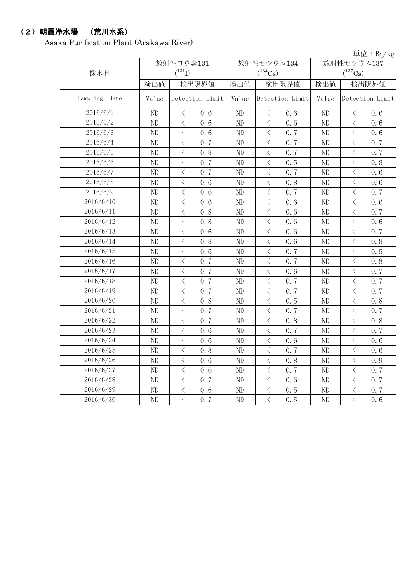### (2)朝霞浄水場 (荒川水系)

Asaka Purification Plant (Arakawa River)

|               |                |                                                  |       |                                                                                                                                                                                                                                                |              | 単位: $Bq/kg$                                      |  |
|---------------|----------------|--------------------------------------------------|-------|------------------------------------------------------------------------------------------------------------------------------------------------------------------------------------------------------------------------------------------------|--------------|--------------------------------------------------|--|
|               |                | 放射性ヨウ素131                                        |       | 放射性セシウム134                                                                                                                                                                                                                                     | 放射性セシウム137   |                                                  |  |
| 採水日           |                | $(^{131}I)$                                      |       | $(^{134}Cs)$                                                                                                                                                                                                                                   | $(^{137}Cs)$ |                                                  |  |
|               | 検出値            | 検出限界値                                            | 検出値   | 検出限界値                                                                                                                                                                                                                                          | 検出値          | 検出限界値                                            |  |
| Sampling date | Value          | Detection Limit                                  | Value | Detection Limit                                                                                                                                                                                                                                | Value        | Detection Limit                                  |  |
| 2016/6/1      | ND             | $\lt$<br>0.6                                     | ND    | 0.6<br>$\langle$                                                                                                                                                                                                                               | ND           | $\big\langle$<br>0.6                             |  |
| 2016/6/2      | N <sub>D</sub> | $\langle$<br>0, 6                                | ND    | $\langle$<br>0.6                                                                                                                                                                                                                               | ND           | $\langle$<br>0.6                                 |  |
| 2016/6/3      | ND             | $\langle$<br>0, 6                                | ND    | $\langle$<br>0.7                                                                                                                                                                                                                               | ND           | $\lt$<br>0.6                                     |  |
| 2016/6/4      | ND             | $\overline{\left\langle \right\rangle }$<br>0.7  | ND    | $\langle$<br>0.7                                                                                                                                                                                                                               | ND           | $\overline{\left\langle \right\rangle }$<br>0.7  |  |
| 2016/6/5      | ND             | $\lt$<br>0.8                                     | ND    | $\lt$<br>0.7                                                                                                                                                                                                                                   | ND           | $\overline{\left\langle \right\rangle }$<br>0.7  |  |
| 2016/6/6      | ND             | $\langle$<br>0.7                                 | ND    | $\hspace{0.5cm}\big\langle$<br>0.5                                                                                                                                                                                                             | ND           | $\lt$<br>0.8                                     |  |
| 2016/6/7      | ND             | $\langle$<br>0.7                                 | ND    | $\hspace{0.5cm}\big\langle$<br>0.7                                                                                                                                                                                                             | ND           | $\langle$<br>0.6                                 |  |
| 2016/6/8      | ND             | $\lt$<br>0.6                                     | ND    | $\, <\,$<br>0.8                                                                                                                                                                                                                                | ND           | $\langle$<br>0.6                                 |  |
| 2016/6/9      | ND             | $\langle$<br>0.6                                 | ND    | $\lt$<br>0.7                                                                                                                                                                                                                                   | ND           | $\lt$<br>0.7                                     |  |
| 2016/6/10     | ND             | $\langle$<br>0, 6                                | ND    | $\,$ $\,$ $\,$<br>0.6                                                                                                                                                                                                                          | ND           | $\lt$<br>0.6                                     |  |
| 2016/6/11     | ND             | $\langle$<br>0.8                                 | ND    | $\lt$<br>0.6                                                                                                                                                                                                                                   | ND           | $\overline{\left\langle \right\rangle }$<br>0.7  |  |
| 2016/6/12     | ND             | $\langle$<br>0.8                                 | ND    | $\langle$<br>0.6                                                                                                                                                                                                                               | ND           | $\langle$<br>0.6                                 |  |
| 2016/6/13     | ND             | $\lt$<br>0.6                                     | ND    | $\overline{\left\langle \right\rangle }$<br>0.6                                                                                                                                                                                                | ND           | $\overline{\left\langle \right\rangle }$<br>0.7  |  |
| 2016/6/14     | ND             | $\langle$<br>0.8                                 | ND    | $\,$ $\,$ $\,$<br>0.6                                                                                                                                                                                                                          | ND           | $\,$ $\,$ $\,$<br>0.8                            |  |
| 2016/6/15     | ND             | $\langle$<br>0.6                                 | ND    | $\lt$<br>0.7                                                                                                                                                                                                                                   | ND           | $\overline{\left\langle \right\rangle }$<br>0.5  |  |
| 2016/6/16     | ND             | $\lt$<br>0.7                                     | ND    | $\langle$<br>0.7                                                                                                                                                                                                                               | ND           | $\, < \,$<br>0.8                                 |  |
| 2016/6/17     | ND             | $\overline{\left\langle \right\rangle }$<br>0.7  | ND    | $\langle$<br>0.6                                                                                                                                                                                                                               | ND           | $\langle$<br>0.7                                 |  |
| 2016/6/18     | ND             | $\lt$<br>0.7                                     | ND    | $\lt$<br>0.7                                                                                                                                                                                                                                   | ND           | $\lt$<br>0.7                                     |  |
| 2016/6/19     | ND             | $\overline{\left\langle \right\rangle }$<br>0.7  | ND    | $\overline{\left\langle \right\rangle }$<br>0.7                                                                                                                                                                                                | ND           | $\overline{\left\langle \right\rangle }$<br>0, 7 |  |
| 2016/6/20     | ND             | $\langle$<br>0.8                                 | ND    | $\hspace{0.5cm}\big\langle$<br>0.5                                                                                                                                                                                                             | ND           | $\langle$<br>0.8                                 |  |
| 2016/6/21     | ND             | $\lt$<br>0.7                                     | ND    | $\, <\,$<br>0.7                                                                                                                                                                                                                                | ND           | $\lt$<br>0.7                                     |  |
| 2016/6/22     | ND             | $\lt$<br>0.7                                     | ND    | $\lt$<br>0.8                                                                                                                                                                                                                                   | ND           | $\lt$<br>0.8                                     |  |
| 2016/6/23     | ND             | $\lt$<br>0.6                                     | ND    | $\lt$<br>0.7                                                                                                                                                                                                                                   | ND           | $\lt$<br>0.7                                     |  |
| 2016/6/24     | ND             | $\lt$<br>0.6                                     | ND    | $\langle$<br>0.6                                                                                                                                                                                                                               | ND           | $\lt$<br>0.6                                     |  |
| 2016/6/25     | ND             | $\lt$<br>0.8                                     | ND    | $\langle$<br>0.7                                                                                                                                                                                                                               | ND           | $\lt$<br>0.6                                     |  |
| 2016/6/26     | N <sub>D</sub> | $\overline{\left\langle \right\rangle }$<br>0, 6 | ND    | $\overline{\left\langle \right\rangle }$<br>0.8                                                                                                                                                                                                | ND           | $\overline{\left\langle \right\rangle }$<br>0.9  |  |
| 2016/6/27     | ND             | $\overline{\left\langle \right\rangle }$<br>0, 6 | ND    | $\overline{\left\langle \right. }% ,\left\langle \overline{\left\langle \right. }\right\rangle _{0}\right\langle \overline{\left\langle \right. }% ,\left\langle \overline{\left\langle \right. }\right\rangle _{0}\right\rangle _{0}}$<br>0.7 | ND           | $\overline{\left\langle \right\rangle }$<br>0.7  |  |
| 2016/6/28     | ND             | $\lt$<br>0, 7                                    | ND    | $\lt$<br>0.6                                                                                                                                                                                                                                   | ND           | $\, < \,$<br>0.7                                 |  |
| 2016/6/29     | ND             | $\langle$<br>0.6                                 | ND    | $\,$ $\,$ $\,$<br>0.5                                                                                                                                                                                                                          | ND           | $\,$ $\,$ $\,$<br>0.7                            |  |
| 2016/6/30     | ND             | $\langle$<br>0.7                                 | ND    | $\overline{\langle}$<br>0.5                                                                                                                                                                                                                    | ND           | $\overline{\langle}$<br>0.6                      |  |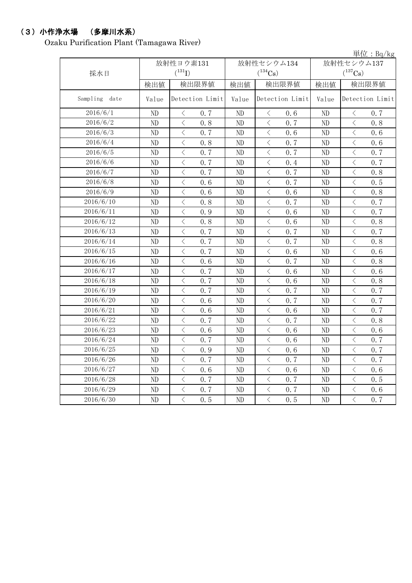### (3)小作浄水場 (多摩川水系)

Ozaku Purification Plant (Tamagawa River)

|               |          |                                                  |                |                                                 |                       | 単位: $Bq/kg$                                     |  |
|---------------|----------|--------------------------------------------------|----------------|-------------------------------------------------|-----------------------|-------------------------------------------------|--|
|               |          | 放射性ヨウ素131                                        |                | 放射性セシウム134                                      | 放射性セシウム137            |                                                 |  |
| 採水日           |          | $(^{131}I)$                                      |                | $(^{134}Cs)$                                    | $(^{137}\mathrm{Cs})$ |                                                 |  |
|               | 検出値      | 検出限界値                                            | 検出値            | 検出限界値                                           | 検出値                   | 検出限界値                                           |  |
| Sampling date | Value    | Detection Limit                                  | Value          | Detection Limit                                 | Value                 | Detection Limit                                 |  |
| 2016/6/1      | ND       | 0.7<br>$\lt$                                     | ND             | 0.6<br>$\langle$                                | ND                    | 0.7<br>$\langle$                                |  |
| 2016/6/2      | ND       | $\lt$<br>0, 8                                    | ND             | $\langle$<br>0.7                                | ND                    | $\langle$<br>0.8                                |  |
| 2016/6/3      | ND       | $\langle$<br>0.7                                 | ND             | $\langle$<br>0.6                                | ND                    | $\langle$<br>0.6                                |  |
| 2016/6/4      | ND       | $\overline{\left\langle \right\rangle }$<br>0.8  | ND             | $\lt$<br>0.7                                    | ND                    | $\langle$<br>0.6                                |  |
| 2016/6/5      | ND       | $\lt$<br>0.7                                     | ND             | $\lt$<br>0.7                                    | ND                    | $\,$ $\,$ $\,$<br>0.7                           |  |
| 2016/6/6      | ND       | $\langle$<br>0.7                                 | ND             | $\langle$<br>0.4                                | ND                    | $\,$ $\,$ $\,$<br>0.7                           |  |
| 2016/6/7      | ND       | $\lt$<br>0.7                                     | ND             | $\lt$<br>0.7                                    | ND                    | $\lt$<br>0.8                                    |  |
| 2016/6/8      | ND       | $\lt$<br>0.6                                     | ND             | $\lt$<br>0.7                                    | ND                    | $\lt$<br>0.5                                    |  |
| 2016/6/9      | ND       | $\lt$<br>0.6                                     | ND             | $\lt$<br>0.6                                    | ND                    | $\lt$<br>0.8                                    |  |
| 2016/6/10     | ND       | $\langle$<br>0.8                                 | ND             | $\langle$<br>0.7                                | ND                    | $\langle$<br>0.7                                |  |
| 2016/6/11     | ND       | $\lt$<br>0.9                                     | ND             | $\lt$<br>0.6                                    | ND                    | $\langle$<br>0.7                                |  |
| 2016/6/12     | ND       | $\langle$<br>0.8                                 | ND             | $\langle$<br>0.6                                | ND                    | $\,$ $\,$ $\,$<br>0.8                           |  |
| 2016/6/13     | ND       | $\overline{\left\langle \right\rangle }$<br>0.7  | ND             | $\overline{\left\langle \right\rangle }$<br>0.7 | ND                    | $\overline{\left\langle \right\rangle }$<br>0.7 |  |
| 2016/6/14     | ND       | $\overline{\left\langle \right\rangle }$<br>0.7  | N <sub>D</sub> | $\lt$<br>0.7                                    | ND                    | $\overline{\left\langle \right\rangle }$<br>0.8 |  |
| 2016/6/15     | ND       | $\lt$<br>0.7                                     | ND             | $\lt$<br>0.6                                    | ND                    | $\lt$<br>0.6                                    |  |
| 2016/6/16     | ND       | $\langle$<br>0, 6                                | ND             | $\overline{\left\langle \right\rangle }$<br>0.7 | ND                    | $\langle$<br>0.8                                |  |
| 2016/6/17     | $\rm ND$ | $\overline{\left\langle \right\rangle }$<br>0.7  | ND             | $\langle$<br>0.6                                | ND                    | $\langle$<br>0.6                                |  |
| 2016/6/18     | $\rm ND$ | $\langle$<br>0.7                                 | ND             | $\langle$<br>0.6                                | ND                    | $\,$ $\,$ $\,$<br>0.8                           |  |
| 2016/6/19     | ND       | $\lt$<br>0.7                                     | ND             | $\langle$<br>0.7                                | ND                    | $\lt$<br>0.7                                    |  |
| 2016/6/20     | ND       | $\overline{\left\langle \right\rangle }$<br>0.6  | ND             | $\langle$<br>0.7                                | ND                    | $\overline{\left\langle \right\rangle }$<br>0.7 |  |
| 2016/6/21     | ND       | $\langle$<br>0.6                                 | ND             | $\langle$<br>0.6                                | ND                    | $\langle$<br>0.7                                |  |
| 2016/6/22     | ND       | $\lt$<br>0.7                                     | ND             | $\lt$<br>0.7                                    | ND                    | $\lt$<br>0.8                                    |  |
| 2016/6/23     | ND       | $\lt$<br>0.6                                     | ND             | $\lt$<br>0.6                                    | ND                    | $\lt$<br>0.6                                    |  |
| 2016/6/24     | ND       | $\lt$<br>0.7                                     | ND             | $\langle$<br>0.6                                | ND                    | $\langle$<br>0.7                                |  |
| 2016/6/25     | ND       | $\lt$<br>0.9                                     | ND             | $\langle$<br>0.6                                | ND                    | $\lt$<br>0.7                                    |  |
| 2016/6/26     | ND       | $\lt$<br>0.7                                     | ND             | $\lt$<br>0.7                                    | ND                    | $\lt$<br>0.7                                    |  |
| 2016/6/27     | ND       | $\overline{\left\langle \right\rangle }$<br>0, 6 | ND             | $\langle$<br>0.6                                | ND                    | $\langle$<br>0.6                                |  |
| 2016/6/28     | ND       | $\overline{\left\langle \right\rangle }$<br>0.7  | ND             | $\langle$<br>0.7                                | ND                    | $\langle$<br>0.5                                |  |
| 2016/6/29     | ND       | $\lt$<br>0.7                                     | ND             | $\lt$<br>0.7                                    | ND                    | $\,<\,$<br>0.6                                  |  |
| 2016/6/30     | ND       | $\overline{\left\langle \right\rangle }$<br>0.5  | ND             | $\overline{\left\langle \right\rangle }$<br>0.5 | ND                    | $\langle$<br>0.7                                |  |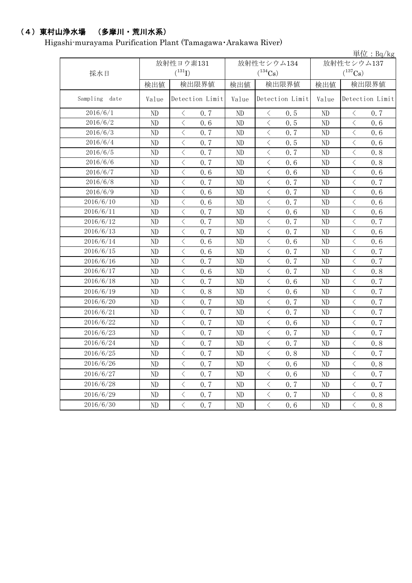## (4)東村山浄水場 (多摩川・荒川水系)

Higashi-murayama Purification Plant (Tamagawa・Arakawa River)

|               |       |                                                 |                          |                                                 |            | 単位: $Bq/kg$                                     |  |
|---------------|-------|-------------------------------------------------|--------------------------|-------------------------------------------------|------------|-------------------------------------------------|--|
|               |       | 放射性ヨウ素131                                       |                          | 放射性セシウム134                                      | 放射性セシウム137 |                                                 |  |
| 採水日           |       | $(^{131}I)$                                     |                          | $(^{134}Cs)$                                    |            | $(^{137}\mathrm{Cs})$                           |  |
|               | 検出値   | 検出限界値                                           | 検出値                      | 検出限界値                                           | 検出値        | 検出限界値                                           |  |
| Sampling date | Value | Detection Limit                                 | Detection Limit<br>Value |                                                 | Value      | Detection Limit                                 |  |
| 2016/6/1      | ND    | $\langle$<br>0.7                                | ND                       | $\langle$<br>0.5                                | ND         | $\lt$<br>0, 7                                   |  |
| 2016/6/2      | ND    | $\langle$<br>0.6                                | ND                       | $\langle$<br>0.5                                | ND         | $\langle$<br>0.6                                |  |
| 2016/6/3      | ND    | $\langle$<br>0.7                                | ND                       | $\lt$<br>0.7                                    | ND         | $\lt$<br>0.6                                    |  |
| 2016/6/4      | ND    | $\lt$<br>0.7                                    | ND                       | $\langle$<br>0.5                                | ND         | $\langle$<br>0.6                                |  |
| 2016/6/5      | ND    | $\lt$<br>0.7                                    | ND                       | $\lt$<br>0.7                                    | ND         | $\lt$<br>0.8                                    |  |
| 2016/6/6      | ND    | $\, \leq$<br>0.7                                | ND                       | $\, \triangleleft$<br>0.6                       | ND         | $\lt$<br>0.8                                    |  |
| 2016/6/7      | ND    | $\lt$<br>0.6                                    | ND                       | $\, \triangleleft$<br>0.6                       | ND         | $\lt$<br>0.6                                    |  |
| 2016/6/8      | ND    | $\lt$<br>0, 7                                   | ND                       | $\lt$<br>0.7                                    | ND         | $\lt$<br>0.7                                    |  |
| 2016/6/9      | ND    | $\,$ $\,$ $\,$<br>0.6                           | ND                       | $\langle$<br>0.7                                | ND         | $\lt$<br>0.6                                    |  |
| 2016/6/10     | ND    | $\lt$<br>0, 6                                   | ND                       | $\langle$<br>0, 7                               | ND         | $\overline{\left\langle \right\rangle }$<br>0.6 |  |
| 2016/6/11     | ND    | $\lt$<br>0.7                                    | ND                       | $\,$ $\,$ $\,$<br>0.6                           | ND         | $\lt$<br>0.6                                    |  |
| 2016/6/12     | ND    | $\langle$<br>0.7                                | ND                       | $\,$ $\,$ $\,$<br>0.7                           | ND         | $\lt$<br>0.7                                    |  |
| 2016/6/13     | ND    | $\lt$<br>0.7                                    | ND                       | $\langle$<br>0.7                                | ND         | $\lt$<br>0.6                                    |  |
| 2016/6/14     | ND    | $\langle$<br>0.6                                | ND                       | $\langle$<br>0, 6                               | ND         | $\overline{\left\langle \right\rangle }$<br>0.6 |  |
| 2016/6/15     | ND    | $\lt$<br>0.6                                    | ND                       | $\lt$<br>0.7                                    | ND         | $\,$ $\,$ $\,$<br>0.7                           |  |
| 2016/6/16     | ND    | $\langle$<br>0.7                                | ND                       | $\lt$<br>0.7                                    | ND         | $\,$ $\,$ $\,$<br>0.7                           |  |
| 2016/6/17     | ND    | $\lt$<br>0.6                                    | ND                       | $\lt$<br>0.7                                    | ND         | $\lt$<br>0.8                                    |  |
| 2016/6/18     | ND    | $\langle$<br>0.7                                | ND                       | $\langle$<br>0, 6                               | ND         | $\overline{\left\langle \right\rangle }$<br>0.7 |  |
| 2016/6/19     | ND    | $\lt$<br>0.8                                    | ND                       | $\lt$<br>0.6                                    | ND         | $\lt$<br>0.7                                    |  |
| 2016/6/20     | ND    | $\langle$<br>0.7                                | ND                       | $\overline{\left\langle \right\rangle }$<br>0.7 | ND         | $\overline{\left\langle \right\rangle }$<br>0.7 |  |
| 2016/6/21     | ND    | $\lt$<br>0.7                                    | ND                       | $\,$ $\,$ $\,$<br>0.7                           | ND         | $\lt$<br>0.7                                    |  |
| 2016/6/22     | ND    | $\langle$<br>0.7                                | ND                       | $\langle$<br>0.6                                | ND         | $\langle$<br>0.7                                |  |
| 2016/6/23     | ND    | $\lt$<br>0.7                                    | ND                       | $\lt$<br>0.7                                    | ND         | $\,$ $\,$ $\,$<br>0.7                           |  |
| 2016/6/24     | ND    | $\langle$<br>0.7                                | ND                       | $\lt$<br>0.7                                    | ND         | $\langle$<br>0.8                                |  |
| 2016/6/25     | ND    | $\,$ $\,$ $\,$<br>0.7                           | ND                       | $\lt$<br>0.8                                    | ND         | $\overline{\left\langle \right\rangle }$<br>0.7 |  |
| 2016/6/26     | ND    | $\langle$<br>0.7                                | ND                       | $\lt$<br>0.6                                    | ND         | $\lt$<br>0.8                                    |  |
| 2016/6/27     | ND    | $\langle$<br>0.7                                | ND                       | $\langle$<br>0.6                                | ND         | $\overline{\left\langle \right\rangle }$<br>0.7 |  |
| 2016/6/28     | ND    | $\lt$<br>0.7                                    | ND                       | $\,$ $\,$ $\,$<br>0.7                           | ND         | $\lt$<br>0.7                                    |  |
| 2016/6/29     | ND    | $\langle$<br>0.7                                | ND                       | $\lt$<br>0.7                                    | ND         | $\langle$<br>0.8                                |  |
| 2016/6/30     | ND    | $\overline{\left\langle \right\rangle }$<br>0.7 | ND                       | $\lt$<br>0.6                                    | ND         | $\,$ $\,$ $\,$<br>0.8                           |  |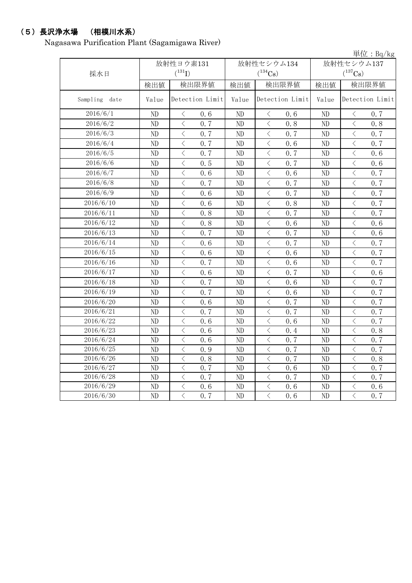#### (5)長沢浄水場 (相模川水系)

Nagasawa Purification Plant (Sagamigawa River)

単位:Bq/kg 検出値 | 検出限量 | 検出限界値 | 検出値 | 検出限界値 Sampling date | Value | Detection Limit | Value | Detection Limit | Value | Detection Limit ND  $\vert$   $\langle$  0.6  $\vert$  ND  $\vert$   $\langle$  0.6  $\vert$  ND  $\vert$   $\langle$  0.7 ND < 0.7 ND < 0.8 ND < 0.8 ND  $\vert$   $\langle$  0.7  $\vert$  ND  $\vert$   $\langle$  0.7  $\vert$  ND  $\vert$   $\langle$  0.7 ND  $\vert$   $\langle$  0.7  $\vert$  ND  $\vert$   $\langle$  0.6  $\vert$  ND  $\vert$   $\langle$  0.7 ND  $\vert$   $\langle$  0.7  $\vert$  ND  $\vert$   $\langle$  0.7  $\vert$  ND  $\vert$   $\langle$  0.6 ND  $\vert$   $\langle$  0.5  $\vert$  ND  $\vert$   $\langle$  0.7  $\vert$  ND  $\vert$   $\langle$  0.6 ND  $\vert$   $\langle$  0.6  $\vert$  ND  $\vert$   $\langle$  0.6  $\vert$  ND  $\vert$   $\langle$  0.7 ND  $\vert$   $\langle$  0.7  $\vert$  ND  $\vert$   $\langle$  0.7  $\vert$  ND  $\vert$   $\langle$  0.7 ND  $\vert$   $\langle$  0.6  $\vert$  ND  $\vert$   $\langle$  0.7  $\vert$  ND  $\vert$   $\langle$  0.7 ND < 0.6 ND < 0.8 ND < 0.7 ND  $\vert$   $\langle$  0.8  $\vert$  ND  $\vert$   $\langle$  0.7  $\vert$  ND  $\vert$   $\langle$  0.7 ND < 0.8 ND < 0.6 ND < 0.6 ND  $\vert$   $\langle$  0.7  $\vert$  ND  $\vert$   $\langle$  0.7  $\vert$  ND  $\vert$   $\langle$  0.6 ND  $\vert$   $\langle$  0.6  $\vert$  ND  $\vert$   $\langle$  0.7  $\vert$  ND  $\vert$   $\langle$  0.7 ND  $\vert$   $\langle$  0.6  $\vert$  ND  $\vert$   $\langle$  0.6  $\vert$  ND  $\vert$   $\langle$  0.7 ND  $\vert$   $\langle$  0.7  $\vert$  ND  $\vert$   $\langle$  0.6  $\vert$  ND  $\vert$   $\langle$  0.7 ND < 0.6 ND < 0.7 ND < 0.6 ND  $\vert$   $\langle$  0.7  $\vert$  ND  $\vert$   $\langle$  0.6  $\vert$  ND  $\vert$   $\langle$  0.7 ND  $\vert$   $\langle$  0.7  $\vert$  ND  $\vert$   $\langle$  0.6  $\vert$  ND  $\vert$   $\langle$  0.7 ND  $\vert$   $\langle$  0.6  $\vert$  ND  $\vert$   $\langle$  0.7  $\vert$  ND  $\vert$   $\langle$  0.7 ND  $\vert$   $\langle$  0.7  $\vert$  ND  $\vert$   $\langle$  0.7  $\vert$  ND  $\vert$   $\langle$  0.7 ND  $\vert$   $\langle$  0.6  $\vert$  ND  $\vert$   $\langle$  0.6  $\vert$  ND  $\vert$   $\langle$  0.7 ND < 0.6 ND < 0.4 ND < 0.8 ND < 0.6 ND < 0.7 ND < 0.7 ND  $\vert$   $\langle$  0.9  $\vert$  ND  $\vert$   $\langle$  0.7  $\vert$  ND  $\vert$   $\langle$  0.7 ND < 0.8 ND < 0.7 ND < 0.8 ND  $\vert$   $\langle$  0.7  $\vert$  ND  $\vert$   $\langle$  0.6  $\vert$  ND  $\vert$   $\langle$  0.7 ND  $\vert$   $\langle$  0.7  $\vert$  ND  $\vert$   $\langle$  0.7  $\vert$  ND  $\vert$   $\langle$  0.7 ND < 0.6 ND < 0.6 ND < 0.6 ND  $\vert$   $\langle$  0.7  $\vert$  ND  $\vert$   $\langle$  0.6  $\vert$  ND  $\vert$   $\langle$  0.7 2016/6/12 2016/6/13 2016/6/14 2016/6/15 2016/6/24 2016/6/11 2016/6/9 2016/6/8 2016/6/4 2016/6/10 2016/6/5 2016/6/6 2016/6/7 2016/6/26 2016/6/27 2016/6/28 2016/6/29 2016/6/25 2016/6/23 2016/6/22 2016/6/21 2016/6/18 2016/6/16 2016/6/30 2016/6/19 採水日 放射性ヨウ素131  $(^{131}\text{I})$ 放射性セシウム134  $(^{134}Cs)$ 放射性セシウム137  $(^{137}\text{Cs})$ 2016/6/17 2016/6/2 2016/6/1 2016/6/20 2016/6/3